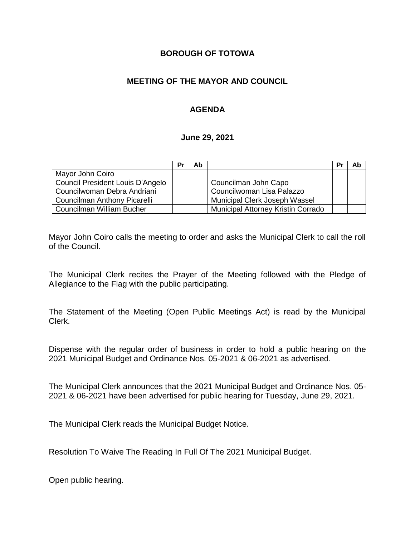## **BOROUGH OF TOTOWA**

## **MEETING OF THE MAYOR AND COUNCIL**

## **AGENDA**

#### **June 29, 2021**

|                                  | Pr | Ab |                                    | Pr | Ab |
|----------------------------------|----|----|------------------------------------|----|----|
| Mayor John Coiro                 |    |    |                                    |    |    |
| Council President Louis D'Angelo |    |    | Councilman John Capo               |    |    |
| Councilwoman Debra Andriani      |    |    | Councilwoman Lisa Palazzo          |    |    |
| Councilman Anthony Picarelli     |    |    | Municipal Clerk Joseph Wassel      |    |    |
| Councilman William Bucher        |    |    | Municipal Attorney Kristin Corrado |    |    |

Mayor John Coiro calls the meeting to order and asks the Municipal Clerk to call the roll of the Council.

The Municipal Clerk recites the Prayer of the Meeting followed with the Pledge of Allegiance to the Flag with the public participating.

The Statement of the Meeting (Open Public Meetings Act) is read by the Municipal Clerk.

Dispense with the regular order of business in order to hold a public hearing on the 2021 Municipal Budget and Ordinance Nos. 05-2021 & 06-2021 as advertised.

The Municipal Clerk announces that the 2021 Municipal Budget and Ordinance Nos. 05- 2021 & 06-2021 have been advertised for public hearing for Tuesday, June 29, 2021.

The Municipal Clerk reads the Municipal Budget Notice.

Resolution To Waive The Reading In Full Of The 2021 Municipal Budget.

Open public hearing.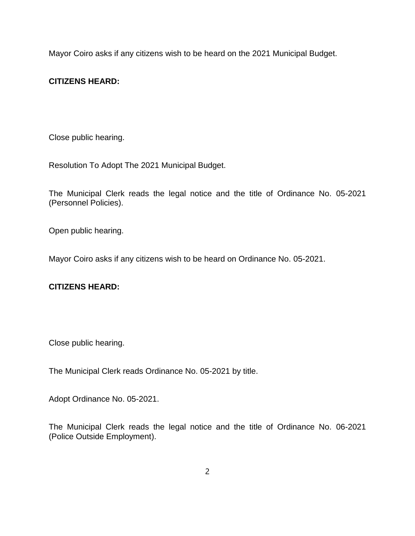Mayor Coiro asks if any citizens wish to be heard on the 2021 Municipal Budget.

# **CITIZENS HEARD:**

Close public hearing.

Resolution To Adopt The 2021 Municipal Budget.

The Municipal Clerk reads the legal notice and the title of Ordinance No. 05-2021 (Personnel Policies).

Open public hearing.

Mayor Coiro asks if any citizens wish to be heard on Ordinance No. 05-2021.

# **CITIZENS HEARD:**

Close public hearing.

The Municipal Clerk reads Ordinance No. 05-2021 by title.

Adopt Ordinance No. 05-2021.

The Municipal Clerk reads the legal notice and the title of Ordinance No. 06-2021 (Police Outside Employment).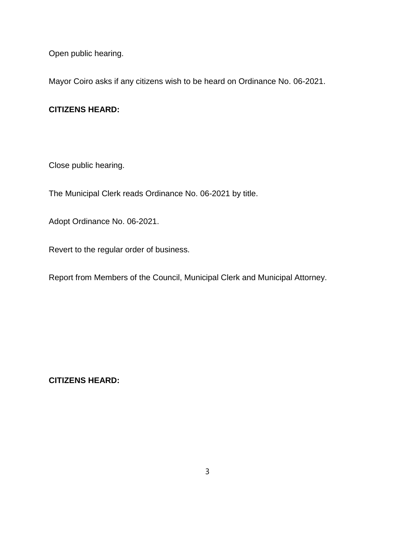Open public hearing.

Mayor Coiro asks if any citizens wish to be heard on Ordinance No. 06-2021.

# **CITIZENS HEARD:**

Close public hearing.

The Municipal Clerk reads Ordinance No. 06-2021 by title.

Adopt Ordinance No. 06-2021.

Revert to the regular order of business.

Report from Members of the Council, Municipal Clerk and Municipal Attorney.

**CITIZENS HEARD:**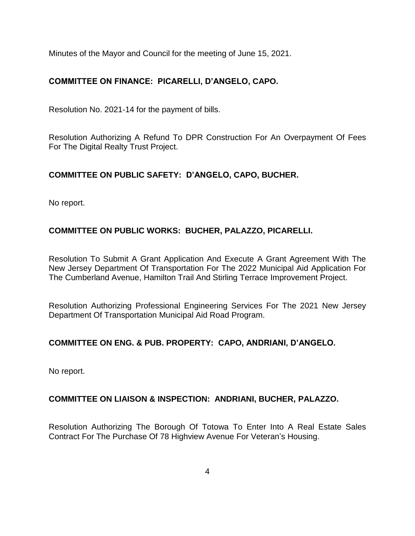Minutes of the Mayor and Council for the meeting of June 15, 2021.

# **COMMITTEE ON FINANCE: PICARELLI, D'ANGELO, CAPO.**

Resolution No. 2021-14 for the payment of bills.

Resolution Authorizing A Refund To DPR Construction For An Overpayment Of Fees For The Digital Realty Trust Project.

# **COMMITTEE ON PUBLIC SAFETY: D'ANGELO, CAPO, BUCHER.**

No report.

# **COMMITTEE ON PUBLIC WORKS: BUCHER, PALAZZO, PICARELLI.**

Resolution To Submit A Grant Application And Execute A Grant Agreement With The New Jersey Department Of Transportation For The 2022 Municipal Aid Application For The Cumberland Avenue, Hamilton Trail And Stirling Terrace Improvement Project.

Resolution Authorizing Professional Engineering Services For The 2021 New Jersey Department Of Transportation Municipal Aid Road Program.

# **COMMITTEE ON ENG. & PUB. PROPERTY: CAPO, ANDRIANI, D'ANGELO.**

No report.

# **COMMITTEE ON LIAISON & INSPECTION: ANDRIANI, BUCHER, PALAZZO.**

Resolution Authorizing The Borough Of Totowa To Enter Into A Real Estate Sales Contract For The Purchase Of 78 Highview Avenue For Veteran's Housing.